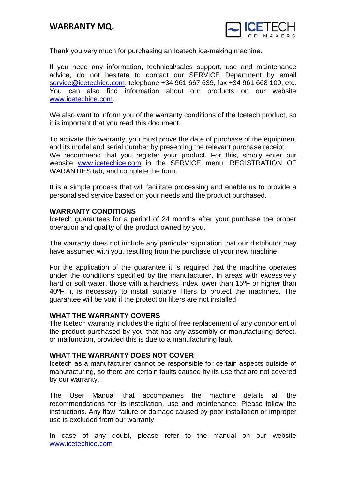

Thank you very much for purchasing an Icetech ice-making machine.

If you need any information, technical/sales support, use and maintenance advice, do not hesitate to contact our SERVICE Department by email [service@icetechice.com,](mailto:service@icetechice.com) telephone +34 961 667 639, fax +34 961 668 100, etc. You can also find information about our products on our website [www.icetechice.com.](http://www.icetechice.com/)

We also want to inform you of the warranty conditions of the Icetech product, so it is important that you read this document.

To activate this warranty, you must prove the date of purchase of the equipment and its model and serial number by presenting the relevant purchase receipt. We recommend that you register your product. For this, simply enter our website [www.icetechice.com](http://www.icetechice.com/) in the SERVICE menu, REGISTRATION OF WARANTIES tab, and complete the form.

It is a simple process that will facilitate processing and enable us to provide a personalised service based on your needs and the product purchased.

## **WARRANTY CONDITIONS**

Icetech guarantees for a period of 24 months after your purchase the proper operation and quality of the product owned by you.

The warranty does not include any particular stipulation that our distributor may have assumed with you, resulting from the purchase of your new machine.

For the application of the guarantee it is required that the machine operates under the conditions specified by the manufacturer. In areas with excessively hard or soft water, those with a hardness index lower than 15<sup>o</sup>F or higher than 40ºF, it is necessary to install suitable filters to protect the machines. The guarantee will be void if the protection filters are not installed.

## **WHAT THE WARRANTY COVERS**

The Icetech warranty includes the right of free replacement of any component of the product purchased by you that has any assembly or manufacturing defect, or malfunction, provided this is due to a manufacturing fault.

## **WHAT THE WARRANTY DOES NOT COVER**

Icetech as a manufacturer cannot be responsible for certain aspects outside of manufacturing, so there are certain faults caused by its use that are not covered by our warranty.

The User Manual that accompanies the machine details all the recommendations for its installation, use and maintenance. Please follow the instructions. Any flaw, failure or damage caused by poor installation or improper use is excluded from our warranty.

In case of any doubt, please refer to the manual on our website [www.icetechice.com](http://www.icetechice.com/)